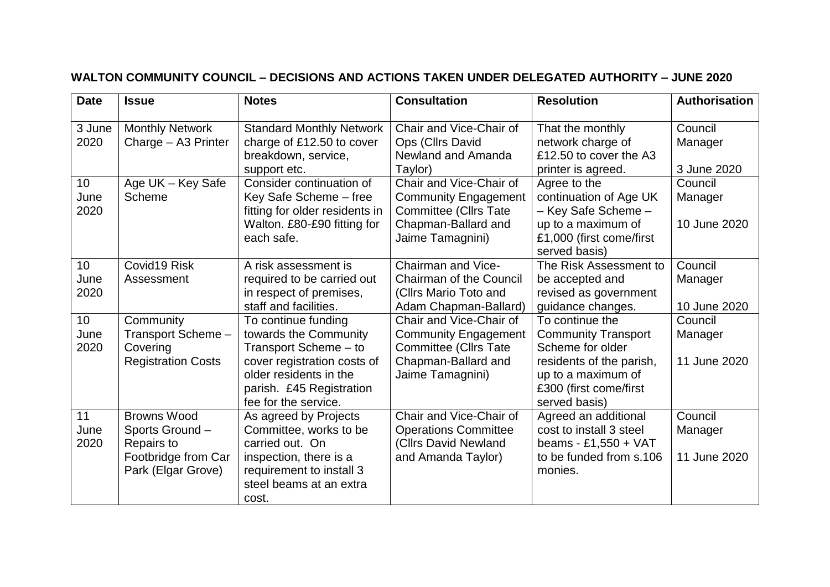| <b>Date</b>        | <b>Issue</b>                                                                                     | <b>Notes</b>                                                                                                                                                                       | <b>Consultation</b>                                                                                                               | <b>Resolution</b>                                                                                                                                              | Authorisation                      |
|--------------------|--------------------------------------------------------------------------------------------------|------------------------------------------------------------------------------------------------------------------------------------------------------------------------------------|-----------------------------------------------------------------------------------------------------------------------------------|----------------------------------------------------------------------------------------------------------------------------------------------------------------|------------------------------------|
| 3 June<br>2020     | <b>Monthly Network</b><br>Charge - A3 Printer                                                    | <b>Standard Monthly Network</b><br>charge of £12.50 to cover<br>breakdown, service,<br>support etc.                                                                                | Chair and Vice-Chair of<br>Ops (Cllrs David<br>Newland and Amanda<br>Taylor)                                                      | That the monthly<br>network charge of<br>£12.50 to cover the A3<br>printer is agreed.                                                                          | Council<br>Manager<br>3 June 2020  |
| 10<br>June<br>2020 | Age UK - Key Safe<br>Scheme                                                                      | Consider continuation of<br>Key Safe Scheme - free<br>fitting for older residents in<br>Walton. £80-£90 fitting for<br>each safe.                                                  | Chair and Vice-Chair of<br><b>Community Engagement</b><br><b>Committee (Cllrs Tate</b><br>Chapman-Ballard and<br>Jaime Tamagnini) | Agree to the<br>continuation of Age UK<br>- Key Safe Scheme -<br>up to a maximum of<br>£1,000 (first come/first<br>served basis)                               | Council<br>Manager<br>10 June 2020 |
| 10<br>June<br>2020 | Covid19 Risk<br>Assessment                                                                       | A risk assessment is<br>required to be carried out<br>in respect of premises,<br>staff and facilities.                                                                             | Chairman and Vice-<br><b>Chairman of the Council</b><br>(Cllrs Mario Toto and<br>Adam Chapman-Ballard)                            | The Risk Assessment to<br>be accepted and<br>revised as government<br>guidance changes.                                                                        | Council<br>Manager<br>10 June 2020 |
| 10<br>June<br>2020 | Community<br>Transport Scheme -<br>Covering<br><b>Registration Costs</b>                         | To continue funding<br>towards the Community<br>Transport Scheme - to<br>cover registration costs of<br>older residents in the<br>parish. £45 Registration<br>fee for the service. | Chair and Vice-Chair of<br><b>Community Engagement</b><br><b>Committee (Cllrs Tate</b><br>Chapman-Ballard and<br>Jaime Tamagnini) | To continue the<br><b>Community Transport</b><br>Scheme for older<br>residents of the parish,<br>up to a maximum of<br>£300 (first come/first<br>served basis) | Council<br>Manager<br>11 June 2020 |
| 11<br>June<br>2020 | <b>Browns Wood</b><br>Sports Ground -<br>Repairs to<br>Footbridge from Car<br>Park (Elgar Grove) | As agreed by Projects<br>Committee, works to be<br>carried out. On<br>inspection, there is a<br>requirement to install 3<br>steel beams at an extra<br>cost.                       | Chair and Vice-Chair of<br><b>Operations Committee</b><br>(Cllrs David Newland<br>and Amanda Taylor)                              | Agreed an additional<br>cost to install 3 steel<br>beams - £1,550 + VAT<br>to be funded from s.106<br>monies.                                                  | Council<br>Manager<br>11 June 2020 |

## **WALTON COMMUNITY COUNCIL – DECISIONS AND ACTIONS TAKEN UNDER DELEGATED AUTHORITY – JUNE 2020**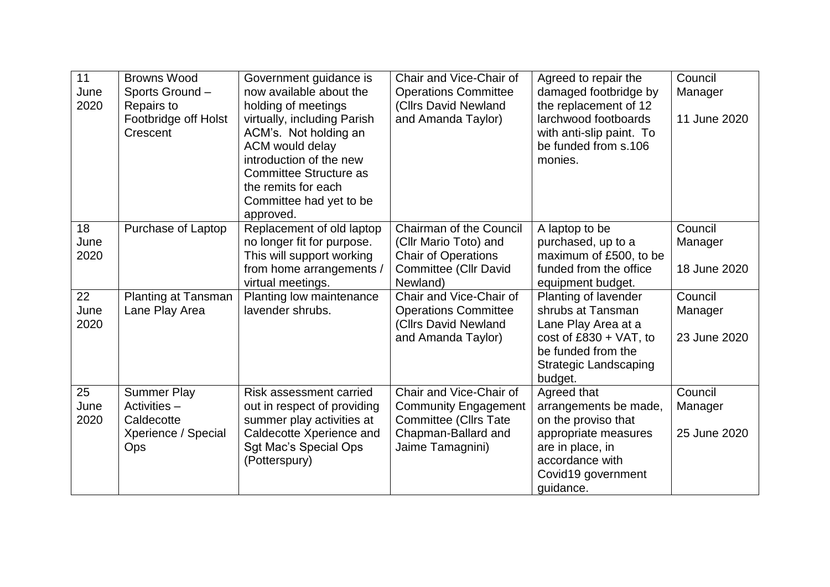| 11   | <b>Browns Wood</b>         | Government guidance is         | Chair and Vice-Chair of        | Agreed to repair the         | Council      |
|------|----------------------------|--------------------------------|--------------------------------|------------------------------|--------------|
| June | Sports Ground-             | now available about the        | <b>Operations Committee</b>    | damaged footbridge by        | Manager      |
| 2020 | Repairs to                 | holding of meetings            | (Cllrs David Newland           | the replacement of 12        |              |
|      | Footbridge off Holst       | virtually, including Parish    | and Amanda Taylor)             | larchwood footboards         | 11 June 2020 |
|      | Crescent                   | ACM's. Not holding an          |                                | with anti-slip paint. To     |              |
|      |                            | ACM would delay                |                                | be funded from s.106         |              |
|      |                            | introduction of the new        |                                | monies.                      |              |
|      |                            | <b>Committee Structure as</b>  |                                |                              |              |
|      |                            | the remits for each            |                                |                              |              |
|      |                            | Committee had yet to be        |                                |                              |              |
|      |                            | approved.                      |                                |                              |              |
| 18   | Purchase of Laptop         | Replacement of old laptop      | <b>Chairman of the Council</b> | A laptop to be               | Council      |
| June |                            | no longer fit for purpose.     | (Cllr Mario Toto) and          | purchased, up to a           | Manager      |
| 2020 |                            | This will support working      | <b>Chair of Operations</b>     | maximum of £500, to be       |              |
|      |                            | from home arrangements /       | Committee (Cllr David          | funded from the office       | 18 June 2020 |
|      |                            | virtual meetings.              | Newland)                       | equipment budget.            |              |
| 22   | <b>Planting at Tansman</b> | Planting low maintenance       | Chair and Vice-Chair of        | Planting of lavender         | Council      |
| June | Lane Play Area             | lavender shrubs.               | <b>Operations Committee</b>    | shrubs at Tansman            | Manager      |
| 2020 |                            |                                | (Cllrs David Newland           | Lane Play Area at a          |              |
|      |                            |                                | and Amanda Taylor)             | cost of $£830 + VAT$ , to    | 23 June 2020 |
|      |                            |                                |                                | be funded from the           |              |
|      |                            |                                |                                | <b>Strategic Landscaping</b> |              |
|      |                            |                                |                                | budget.                      |              |
| 25   | <b>Summer Play</b>         | <b>Risk assessment carried</b> | Chair and Vice-Chair of        | Agreed that                  | Council      |
| June | Activities -               | out in respect of providing    | <b>Community Engagement</b>    | arrangements be made,        | Manager      |
| 2020 | Caldecotte                 | summer play activities at      | <b>Committee (Cllrs Tate</b>   | on the proviso that          |              |
|      | Xperience / Special        | Caldecotte Xperience and       | Chapman-Ballard and            | appropriate measures         | 25 June 2020 |
|      | Ops                        | Sgt Mac's Special Ops          | Jaime Tamagnini)               | are in place, in             |              |
|      |                            | (Potterspury)                  |                                | accordance with              |              |
|      |                            |                                |                                | Covid19 government           |              |
|      |                            |                                |                                | quidance.                    |              |